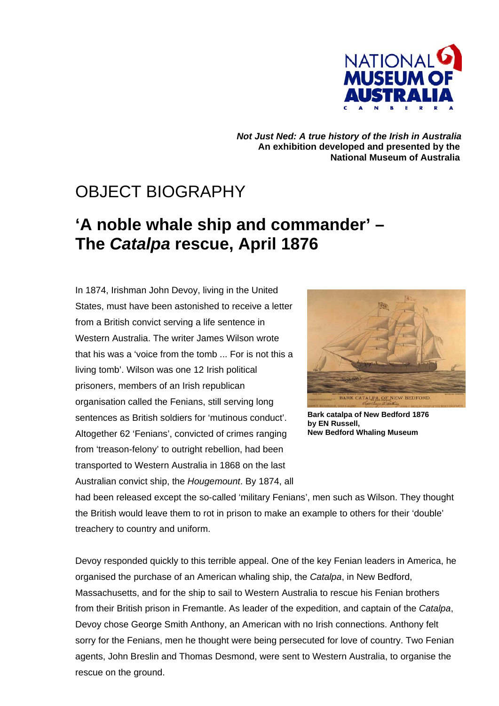

*Not Just Ned: A true history of the Irish in Australia*  **An exhibition developed and presented by the National Museum of Australia** 

## OBJECT BIOGRAPHY

## **'A noble whale ship and commander' – The** *Catalpa* **rescue, April 1876**

In 1874, Irishman John Devoy, living in the United States, must have been astonished to receive a letter from a British convict serving a life sentence in Western Australia. The writer James Wilson wrote that his was a 'voice from the tomb ... For is not this a living tomb'. Wilson was one 12 Irish political prisoners, members of an Irish republican organisation called the Fenians, still serving long sentences as British soldiers for 'mutinous conduct'. Altogether 62 'Fenians', convicted of crimes ranging from 'treason-felony' to outright rebellion, had been transported to Western Australia in 1868 on the last Australian convict ship, the *Hougemount*. By 1874, all



**Bark catalpa of New Bedford 1876 by EN Russell, New Bedford Whaling Museum** 

had been released except the so-called 'military Fenians', men such as Wilson. They thought the British would leave them to rot in prison to make an example to others for their 'double' treachery to country and uniform.

Devoy responded quickly to this terrible appeal. One of the key Fenian leaders in America, he organised the purchase of an American whaling ship, the *Catalpa*, in New Bedford, Massachusetts, and for the ship to sail to Western Australia to rescue his Fenian brothers from their British prison in Fremantle. As leader of the expedition, and captain of the *Catalpa*, Devoy chose George Smith Anthony, an American with no Irish connections. Anthony felt sorry for the Fenians, men he thought were being persecuted for love of country. Two Fenian agents, John Breslin and Thomas Desmond, were sent to Western Australia, to organise the rescue on the ground.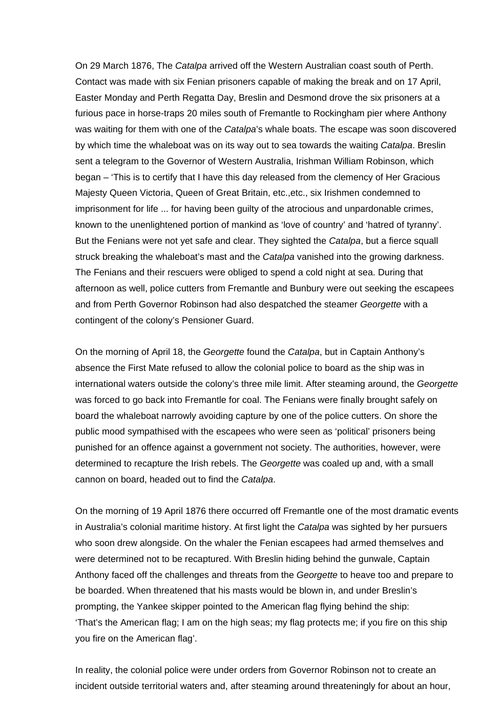On 29 March 1876, The *Catalpa* arrived off the Western Australian coast south of Perth. Contact was made with six Fenian prisoners capable of making the break and on 17 April, Easter Monday and Perth Regatta Day, Breslin and Desmond drove the six prisoners at a furious pace in horse-traps 20 miles south of Fremantle to Rockingham pier where Anthony was waiting for them with one of the *Catalpa*'s whale boats. The escape was soon discovered by which time the whaleboat was on its way out to sea towards the waiting *Catalpa*. Breslin sent a telegram to the Governor of Western Australia, Irishman William Robinson, which began – 'This is to certify that I have this day released from the clemency of Her Gracious Majesty Queen Victoria, Queen of Great Britain, etc.,etc., six Irishmen condemned to imprisonment for life ... for having been guilty of the atrocious and unpardonable crimes, known to the unenlightened portion of mankind as 'love of country' and 'hatred of tyranny'. But the Fenians were not yet safe and clear. They sighted the *Catalpa*, but a fierce squall struck breaking the whaleboat's mast and the *Catalpa* vanished into the growing darkness. The Fenians and their rescuers were obliged to spend a cold night at sea. During that afternoon as well, police cutters from Fremantle and Bunbury were out seeking the escapees and from Perth Governor Robinson had also despatched the steamer *Georgette* with a contingent of the colony's Pensioner Guard.

On the morning of April 18, the *Georgette* found the *Catalpa*, but in Captain Anthony's absence the First Mate refused to allow the colonial police to board as the ship was in international waters outside the colony's three mile limit. After steaming around, the *Georgette*  was forced to go back into Fremantle for coal. The Fenians were finally brought safely on board the whaleboat narrowly avoiding capture by one of the police cutters. On shore the public mood sympathised with the escapees who were seen as 'political' prisoners being punished for an offence against a government not society. The authorities, however, were determined to recapture the Irish rebels. The *Georgette* was coaled up and, with a small cannon on board, headed out to find the *Catalpa*.

On the morning of 19 April 1876 there occurred off Fremantle one of the most dramatic events in Australia's colonial maritime history. At first light the *Catalpa* was sighted by her pursuers who soon drew alongside. On the whaler the Fenian escapees had armed themselves and were determined not to be recaptured. With Breslin hiding behind the gunwale, Captain Anthony faced off the challenges and threats from the *Georgette* to heave too and prepare to be boarded. When threatened that his masts would be blown in, and under Breslin's prompting, the Yankee skipper pointed to the American flag flying behind the ship: 'That's the American flag; I am on the high seas; my flag protects me; if you fire on this ship you fire on the American flag'.

In reality, the colonial police were under orders from Governor Robinson not to create an incident outside territorial waters and, after steaming around threateningly for about an hour,